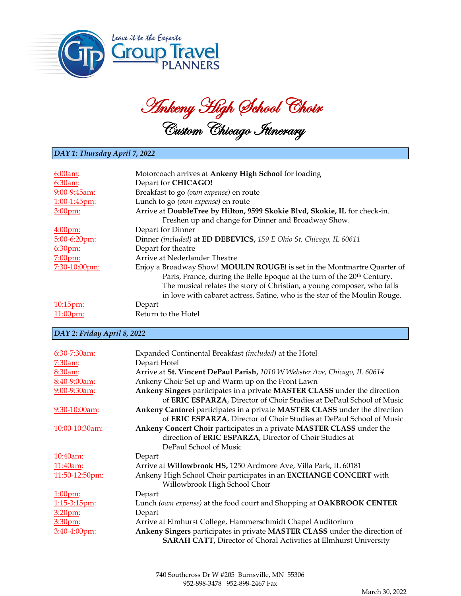

Ankeny High School Choir Custom Chicago Itinerary

## *DAY 1: Thursday April 7, 2022*

| 6:00am            | Motorcoach arrives at Ankeny High School for loading                                |
|-------------------|-------------------------------------------------------------------------------------|
| 6:30am:           | Depart for CHICAGO!                                                                 |
| $9:00-9:45am$     | Breakfast to go (own expense) en route                                              |
| 1:00-1:45pm:      | Lunch to go (own expense) en route                                                  |
| 3:00pm:           | Arrive at DoubleTree by Hilton, 9599 Skokie Blvd, Skokie, IL for check-in.          |
|                   | Freshen up and change for Dinner and Broadway Show.                                 |
| $4:00$ pm:        | Depart for Dinner                                                                   |
| $5:00-6:20$ pm:   | Dinner (included) at ED DEBEVICS, 159 E Ohio St, Chicago, IL 60611                  |
| 6:30pm:           | Depart for theatre                                                                  |
| 7:00pm:           | Arrive at Nederlander Theatre                                                       |
| 7:30-10:00pm:     | Enjoy a Broadway Show! MOULIN ROUGE! is set in the Montmartre Quarter of            |
|                   | Paris, France, during the Belle Epoque at the turn of the 20 <sup>th</sup> Century. |
|                   | The musical relates the story of Christian, a young composer, who falls             |
|                   | in love with cabaret actress, Satine, who is the star of the Moulin Rouge.          |
| $10:15 \text{pm}$ | Depart                                                                              |
| $11:00$ pm:       | Return to the Hotel                                                                 |

## *DAY 2: Friday April 8, 2022*

| 6:30-7:30am:       | Expanded Continental Breakfast (included) at the Hotel                     |
|--------------------|----------------------------------------------------------------------------|
| 7:30am:            | Depart Hotel                                                               |
| 8:30am:            | Arrive at St. Vincent DePaul Parish, 1010 W Webster Ave, Chicago, IL 60614 |
| 8:40-9:00am:       | Ankeny Choir Set up and Warm up on the Front Lawn                          |
| $9:00-9:30$ am:    | Ankeny Singers participates in a private MASTER CLASS under the direction  |
|                    | of ERIC ESPARZA, Director of Choir Studies at DePaul School of Music       |
| $9:30-10:00$ am:   | Ankeny Cantorei participates in a private MASTER CLASS under the direction |
|                    | of ERIC ESPARZA, Director of Choir Studies at DePaul School of Music       |
| $10:00-10:30$ am:  | Ankeny Concert Choir participates in a private MASTER CLASS under the      |
|                    | direction of ERIC ESPARZA, Director of Choir Studies at                    |
|                    | DePaul School of Music                                                     |
| 10:40am:           | Depart                                                                     |
| $11:40am$ :        | Arrive at Willowbrook HS, 1250 Ardmore Ave, Villa Park, IL 60181           |
| 11:50-12:50pm:     | Ankeny High School Choir participates in an EXCHANGE CONCERT with          |
|                    | Willowbrook High School Choir                                              |
| 1:00 <sub>pm</sub> | Depart                                                                     |
| $1:15-3:15$ pm:    | Lunch (own expense) at the food court and Shopping at OAKBROOK CENTER      |
| 3:20 <sub>pm</sub> | Depart                                                                     |
| 3:30pm:            | Arrive at Elmhurst College, Hammerschmidt Chapel Auditorium                |
| $3:40-4:00$ pm:    | Ankeny Singers participates in private MASTER CLASS under the direction of |
|                    | <b>SARAH CATT, Director of Choral Activities at Elmhurst University</b>    |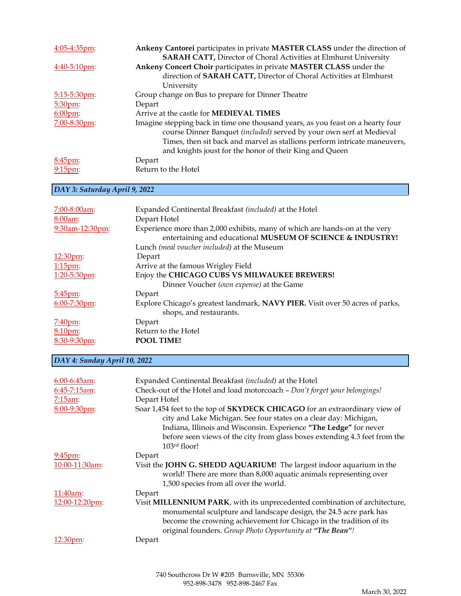| Ankeny Cantorei participates in private MASTER CLASS under the direction of     |
|---------------------------------------------------------------------------------|
| <b>SARAH CATT, Director of Choral Activities at Elmhurst University</b>         |
| Ankeny Concert Choir participates in private MASTER CLASS under the             |
| direction of SARAH CATT, Director of Choral Activities at Elmhurst              |
| University                                                                      |
| Group change on Bus to prepare for Dinner Theatre                               |
| Depart                                                                          |
| Arrive at the castle for <b>MEDIEVAL TIMES</b>                                  |
| Imagine stepping back in time one thousand years, as you feast on a hearty four |
| course Dinner Banquet (included) served by your own serf at Medieval            |
| Times, then sit back and marvel as stallions perform intricate maneuvers,       |
| and knights joust for the honor of their King and Queen                         |
| Depart                                                                          |
| Return to the Hotel                                                             |
|                                                                                 |

## *DAY 3: Saturday April 9, 2022*

| 7:00-8:00am:       | Expanded Continental Breakfast (included) at the Hotel                                                                                    |
|--------------------|-------------------------------------------------------------------------------------------------------------------------------------------|
| 8:00am:            | Depart Hotel                                                                                                                              |
| 9:30am-12:30pm:    | Experience more than 2,000 exhibits, many of which are hands-on at the very<br>entertaining and educational MUSEUM OF SCIENCE & INDUSTRY! |
|                    | Lunch (meal voucher included) at the Museum                                                                                               |
| 12:30pm:           | Depart                                                                                                                                    |
| $1:15$ pm:         | Arrive at the famous Wrigley Field                                                                                                        |
| $1:20-5:30$ pm:    | Enjoy the CHICAGO CUBS VS MILWAUKEE BREWERS!                                                                                              |
|                    | Dinner Voucher (own expense) at the Game                                                                                                  |
| 5:45pm:            | Depart                                                                                                                                    |
| $6:00 - 7:30$ pm:  | Explore Chicago's greatest landmark, NAVY PIER. Visit over 50 acres of parks,                                                             |
|                    | shops, and restaurants.                                                                                                                   |
| $7:40 \text{pm}$   | Depart                                                                                                                                    |
| 8:10 <sub>pm</sub> | Return to the Hotel                                                                                                                       |
| 8:30-9:30pm:       | <b>POOL TIME!</b>                                                                                                                         |

## *DAY 4: Sunday April 10, 2022*

| $6:00-6:45$ am:  | Expanded Continental Breakfast (included) at the Hotel                                                                                                                                                                                                                                                               |
|------------------|----------------------------------------------------------------------------------------------------------------------------------------------------------------------------------------------------------------------------------------------------------------------------------------------------------------------|
| 6:45-7:15am:     | Check-out of the Hotel and load motorcoach - Don't forget your belongings!                                                                                                                                                                                                                                           |
| 7:15am:          | Depart Hotel                                                                                                                                                                                                                                                                                                         |
| 8:00-9:30pm:     | Soar 1,454 feet to the top of SKYDECK CHICAGO for an extraordinary view of<br>city and Lake Michigan. See four states on a clear day: Michigan,<br>Indiana, Illinois and Wisconsin. Experience "The Ledge" for never<br>before seen views of the city from glass boxes extending 4.3 feet from the<br>$103rd$ floor! |
| $9:45 \text{pm}$ | Depart                                                                                                                                                                                                                                                                                                               |
| 10:00-11:30am:   | Visit the JOHN G. SHEDD AQUARIUM! The largest indoor aquarium in the<br>world! There are more than 8,000 aquatic animals representing over<br>1,500 species from all over the world.                                                                                                                                 |
| $11:40$ am:      | Depart                                                                                                                                                                                                                                                                                                               |
| 12:00-12:20pm:   | Visit MILLENNIUM PARK, with its unprecedented combination of architecture,<br>monumental sculpture and landscape design, the 24.5 acre park has<br>become the crowning achievement for Chicago in the tradition of its<br>original founders. Group Photo Opportunity at "The Bean"!                                  |
| 12:30pm:         | Depart                                                                                                                                                                                                                                                                                                               |